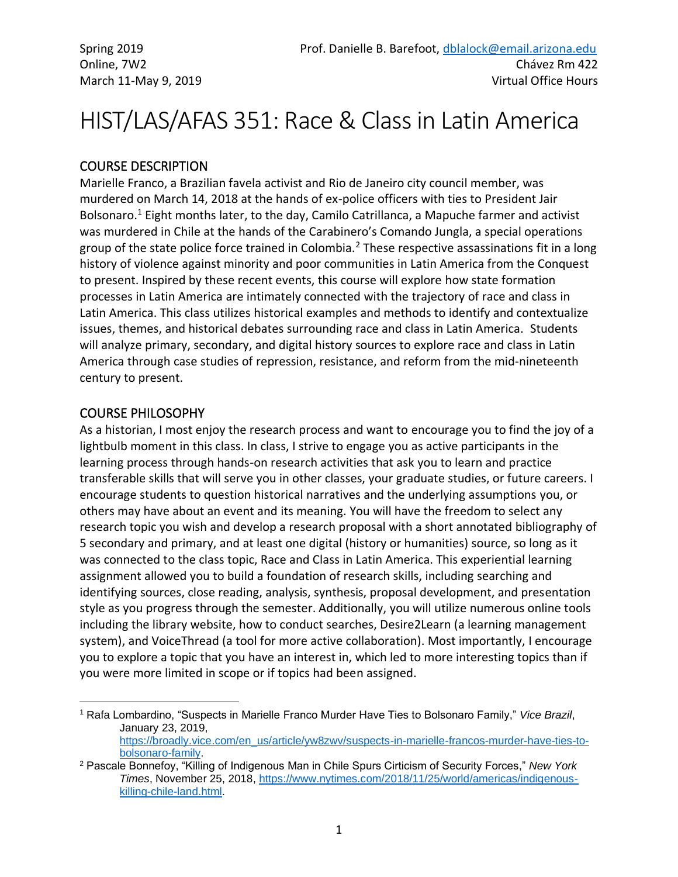# HIST/LAS/AFAS 351: Race & Class in Latin America

## COURSE DESCRIPTION

Marielle Franco, a Brazilian favela activist and Rio de Janeiro city council member, was murdered on March 14, 2018 at the hands of ex-police officers with ties to President Jair Bolsonaro.<sup>1</sup> Eight months later, to the day, Camilo Catrillanca, a Mapuche farmer and activist was murdered in Chile at the hands of the Carabinero's Comando Jungla, a special operations group of the state police force trained in Colombia.<sup>2</sup> These respective assassinations fit in a long history of violence against minority and poor communities in Latin America from the Conquest to present. Inspired by these recent events, this course will explore how state formation processes in Latin America are intimately connected with the trajectory of race and class in Latin America. This class utilizes historical examples and methods to identify and contextualize issues, themes, and historical debates surrounding race and class in Latin America. Students will analyze primary, secondary, and digital history sources to explore race and class in Latin America through case studies of repression, resistance, and reform from the mid-nineteenth century to present.

#### COURSE PHILOSOPHY

As a historian, I most enjoy the research process and want to encourage you to find the joy of a lightbulb moment in this class. In class, I strive to engage you as active participants in the learning process through hands-on research activities that ask you to learn and practice transferable skills that will serve you in other classes, your graduate studies, or future careers. I encourage students to question historical narratives and the underlying assumptions you, or others may have about an event and its meaning. You will have the freedom to select any research topic you wish and develop a research proposal with a short annotated bibliography of 5 secondary and primary, and at least one digital (history or humanities) source, so long as it was connected to the class topic, Race and Class in Latin America. This experiential learning assignment allowed you to build a foundation of research skills, including searching and identifying sources, close reading, analysis, synthesis, proposal development, and presentation style as you progress through the semester. Additionally, you will utilize numerous online tools including the library website, how to conduct searches, Desire2Learn (a learning management system), and VoiceThread (a tool for more active collaboration). Most importantly, I encourage you to explore a topic that you have an interest in, which led to more interesting topics than if you were more limited in scope or if topics had been assigned.

<sup>1</sup> Rafa Lombardino, "Suspects in Marielle Franco Murder Have Ties to Bolsonaro Family," *Vice Brazil*, January 23, 2019, [https://broadly.vice.com/en\\_us/article/yw8zwv/suspects-in-marielle-francos-murder-have-ties-to-](https://broadly.vice.com/en_us/article/yw8zwv/suspects-in-marielle-francos-murder-have-ties-to-bolsonaro-family)

[bolsonaro-family.](https://broadly.vice.com/en_us/article/yw8zwv/suspects-in-marielle-francos-murder-have-ties-to-bolsonaro-family)

<sup>2</sup> Pascale Bonnefoy, "Killing of Indigenous Man in Chile Spurs Cirticism of Security Forces," *New York Times*, November 25, 2018, [https://www.nytimes.com/2018/11/25/world/americas/indigenous](https://www.nytimes.com/2018/11/25/world/americas/indigenous-killing-chile-land.html)[killing-chile-land.html.](https://www.nytimes.com/2018/11/25/world/americas/indigenous-killing-chile-land.html)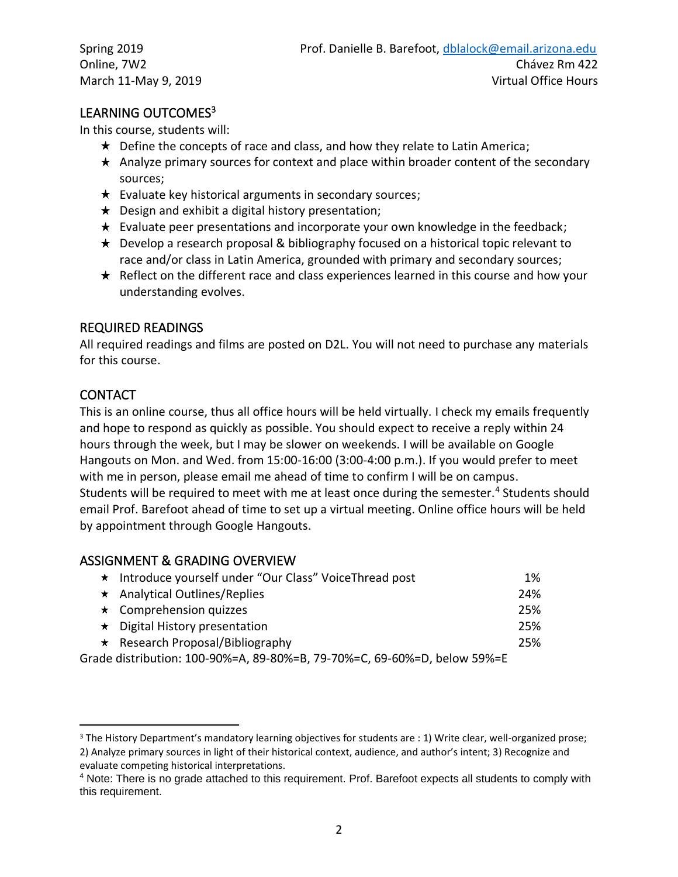## LEARNING OUTCOMES<sup>3</sup>

In this course, students will:

- $\star$  Define the concepts of race and class, and how they relate to Latin America;
- $\star$  Analyze primary sources for context and place within broader content of the secondary sources;
- $\star$  Evaluate key historical arguments in secondary sources;
- $\star$  Design and exhibit a digital history presentation;
- $\star$  Evaluate peer presentations and incorporate your own knowledge in the feedback;
- $\star$  Develop a research proposal & bibliography focused on a historical topic relevant to race and/or class in Latin America, grounded with primary and secondary sources;
- $\star$  Reflect on the different race and class experiences learned in this course and how your understanding evolves.

#### REQUIRED READINGS

All required readings and films are posted on D2L. You will not need to purchase any materials for this course.

## **CONTACT**

This is an online course, thus all office hours will be held virtually. I check my emails frequently and hope to respond as quickly as possible. You should expect to receive a reply within 24 hours through the week, but I may be slower on weekends. I will be available on Google Hangouts on Mon. and Wed. from 15:00-16:00 (3:00-4:00 p.m.). If you would prefer to meet with me in person, please email me ahead of time to confirm I will be on campus. Students will be required to meet with me at least once during the semester.<sup>4</sup> Students should email Prof. Barefoot ahead of time to set up a virtual meeting. Online office hours will be held by appointment through Google Hangouts.

#### ASSIGNMENT & GRADING OVERVIEW

| * Introduce yourself under "Our Class" VoiceThread post                  | 1%  |
|--------------------------------------------------------------------------|-----|
| * Analytical Outlines/Replies                                            | 24% |
| $\star$ Comprehension quizzes                                            | 25% |
| $\star$ Digital History presentation                                     | 25% |
| $\star$ Research Proposal/Bibliography                                   | 25% |
| Grade distribution: 100-90%=A, 89-80%=B, 79-70%=C, 69-60%=D, below 59%=E |     |

<sup>&</sup>lt;sup>3</sup> The History Department's mandatory learning objectives for students are : 1) Write clear, well-organized prose; 2) Analyze primary sources in light of their historical context, audience, and author's intent; 3) Recognize and evaluate competing historical interpretations.

<sup>4</sup> Note: There is no grade attached to this requirement. Prof. Barefoot expects all students to comply with this requirement.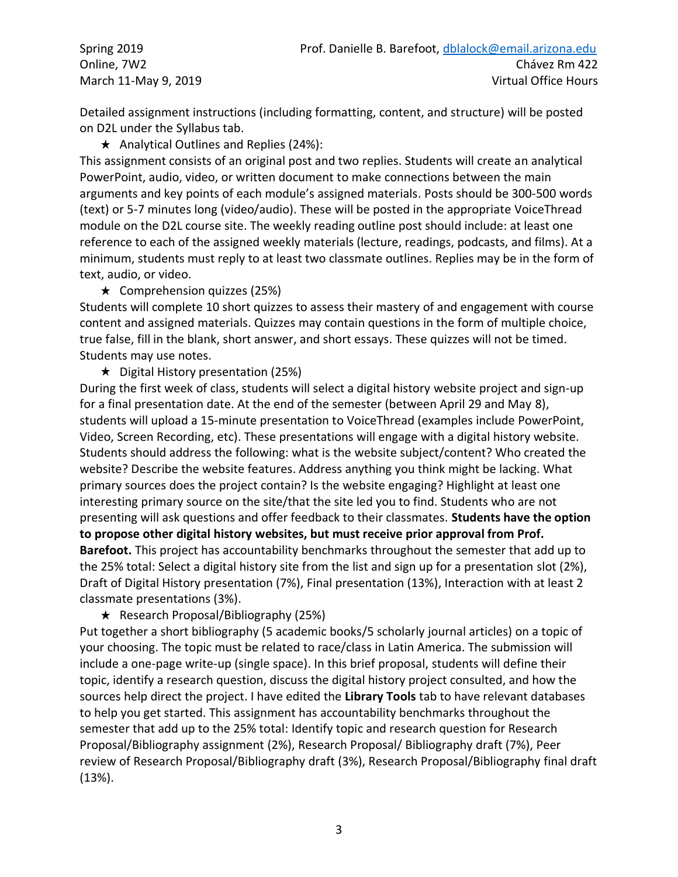Detailed assignment instructions (including formatting, content, and structure) will be posted on D2L under the Syllabus tab.

 $\star$  Analytical Outlines and Replies (24%):

This assignment consists of an original post and two replies. Students will create an analytical PowerPoint, audio, video, or written document to make connections between the main arguments and key points of each module's assigned materials. Posts should be 300-500 words (text) or 5-7 minutes long (video/audio). These will be posted in the appropriate VoiceThread module on the D2L course site. The weekly reading outline post should include: at least one reference to each of the assigned weekly materials (lecture, readings, podcasts, and films). At a minimum, students must reply to at least two classmate outlines. Replies may be in the form of text, audio, or video.

 $\star$  Comprehension quizzes (25%)

Students will complete 10 short quizzes to assess their mastery of and engagement with course content and assigned materials. Quizzes may contain questions in the form of multiple choice, true false, fill in the blank, short answer, and short essays. These quizzes will not be timed. Students may use notes.

 $\star$  Digital History presentation (25%)

During the first week of class, students will select a digital history website project and sign-up for a final presentation date. At the end of the semester (between April 29 and May 8), students will upload a 15-minute presentation to VoiceThread (examples include PowerPoint, Video, Screen Recording, etc). These presentations will engage with a digital history website. Students should address the following: what is the website subject/content? Who created the website? Describe the website features. Address anything you think might be lacking. What primary sources does the project contain? Is the website engaging? Highlight at least one interesting primary source on the site/that the site led you to find. Students who are not presenting will ask questions and offer feedback to their classmates. **Students have the option to propose other digital history websites, but must receive prior approval from Prof. Barefoot.** This project has accountability benchmarks throughout the semester that add up to the 25% total: Select a digital history site from the list and sign up for a presentation slot (2%), Draft of Digital History presentation (7%), Final presentation (13%), Interaction with at least 2 classmate presentations (3%).

**★** Research Proposal/Bibliography (25%)

Put together a short bibliography (5 academic books/5 scholarly journal articles) on a topic of your choosing. The topic must be related to race/class in Latin America. The submission will include a one-page write-up (single space). In this brief proposal, students will define their topic, identify a research question, discuss the digital history project consulted, and how the sources help direct the project. I have edited the **Library Tools** tab to have relevant databases to help you get started. This assignment has accountability benchmarks throughout the semester that add up to the 25% total: Identify topic and research question for Research Proposal/Bibliography assignment (2%), Research Proposal/ Bibliography draft (7%), Peer review of Research Proposal/Bibliography draft (3%), Research Proposal/Bibliography final draft (13%).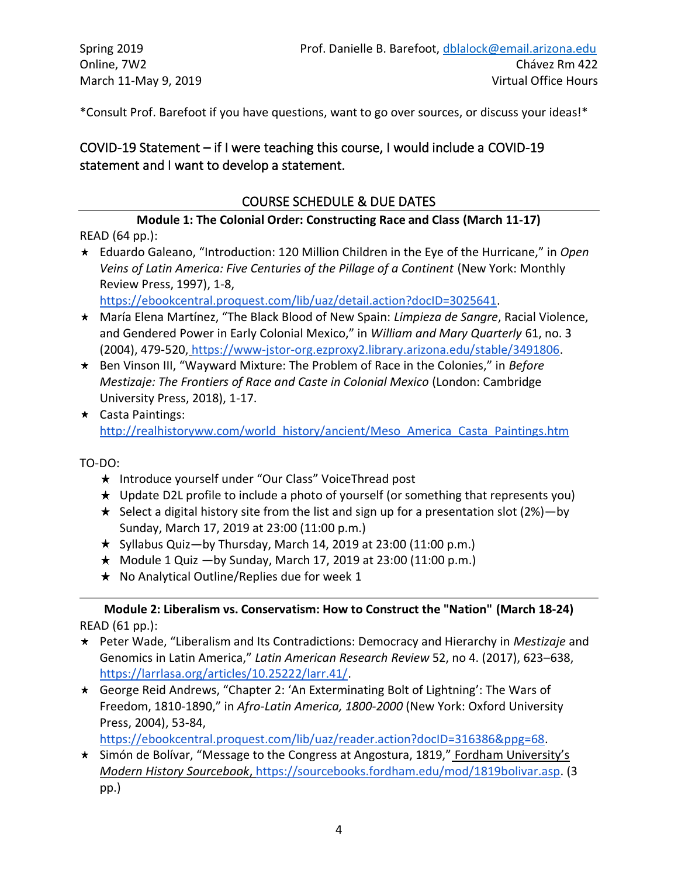\*Consult Prof. Barefoot if you have questions, want to go over sources, or discuss your ideas!\*

# COVID-19 Statement – if I were teaching this course, I would include a COVID-19 statement and I want to develop a statement.

## COURSE SCHEDULE & DUE DATES

**Module 1: The Colonial Order: Constructing Race and Class (March 11-17)** READ (64 pp.):

Eduardo Galeano, "Introduction: 120 Million Children in the Eye of the Hurricane," in *Open Veins of Latin America: F[ive Centuries of the Pillage of a Continent](https://ebookcentral.proquest.com/lib/uaz/detail.action?docID=3025641)* (New York: Monthly Review Press, 1997), 1-8,

[https://ebookcentral.proquest.com/lib/uaz/detail.action?docID=3025641.](https://ebookcentral.proquest.com/lib/uaz/detail.action?docID=3025641)

- María Elena Martínez, "The Black Blood of New Spain: *Limpieza de Sangre*, Racial Violence, and Gendered Power in Early Colonial Mexico," in *William and Mary Quarterly* 61, no. 3 (2004), 479-520, [https://www-jstor-org.ezproxy2.library.arizona.edu/stable/3491806.](https://www-jstor-org.ezproxy2.library.arizona.edu/stable/3491806)
- Ben Vinson III, "Wayward Mixture: The Problem of Race in the Colonies," in *Before Mestizaje: The Frontiers of Race and Caste in Colonial Mexico* (London: Cambridge University Press, 2018), 1-17.
- Casta Paintings[:](http://realhistoryww.com/world_history/ancient/Meso_America_Casta_Paintings.htm) [http://realhistoryww.com/world\\_history/ancient/Meso\\_America\\_Casta\\_Paintings.htm](http://realhistoryww.com/world_history/ancient/Meso_America_Casta_Paintings.htm)

TO-DO:

- **★** Introduce yourself under "Our Class" VoiceThread post
- $\star$  Update D2L profile to include a photo of yourself (or something that represents you)
- $\star$  Select a digital history site from the list and sign up for a presentation slot (2%)—by Sunday, March 17, 2019 at 23:00 (11:00 p.m.)
- $\star$  Syllabus Quiz—by Thursday, March 14, 2019 at 23:00 (11:00 p.m.)
- $\star$  Module 1 Quiz  $-$ by Sunday, March 17, 2019 at 23:00 (11:00 p.m.)
- $\star$  No Analytical Outline/Replies due for week 1

**Module 2: Liberalism vs. Conservatism: How to Construct the "Nation" (March 18-24)** READ (61 pp.):

- Peter Wade, "Liberalism and Its Contradictions: Democracy and Hierarchy in *Mestizaje* and Genomics in Latin America," *Latin American Research Review* 52, no 4. (2017), 623–638, [https://larrlasa.org/articles/10.25222/larr.41/.](https://larrlasa.org/articles/10.25222/larr.41/)
- George Reid Andrews, "Chapter 2: 'An Exterminating Bolt of Lightning': The Wars of Freedom, 1810-1890," in *Afro-Latin America, 1800-2000* (New York: Oxford University Press, 2004), 53-84,

[https://ebookcentral.proquest.com/lib/uaz/reader.action?docID=316386&ppg=68.](https://ebookcentral.proquest.com/lib/uaz/reader.action?docID=316386&ppg=68)

\* Simón de Bolívar, "Message to the Congress at Angostura, 1819," Fordham University's *Modern History Sourcebook*[, https://sourcebooks.fordham.edu/mod/1819bolivar.asp.](https://sourcebooks.fordham.edu/mod/1819bolivar.asp) (3 pp.)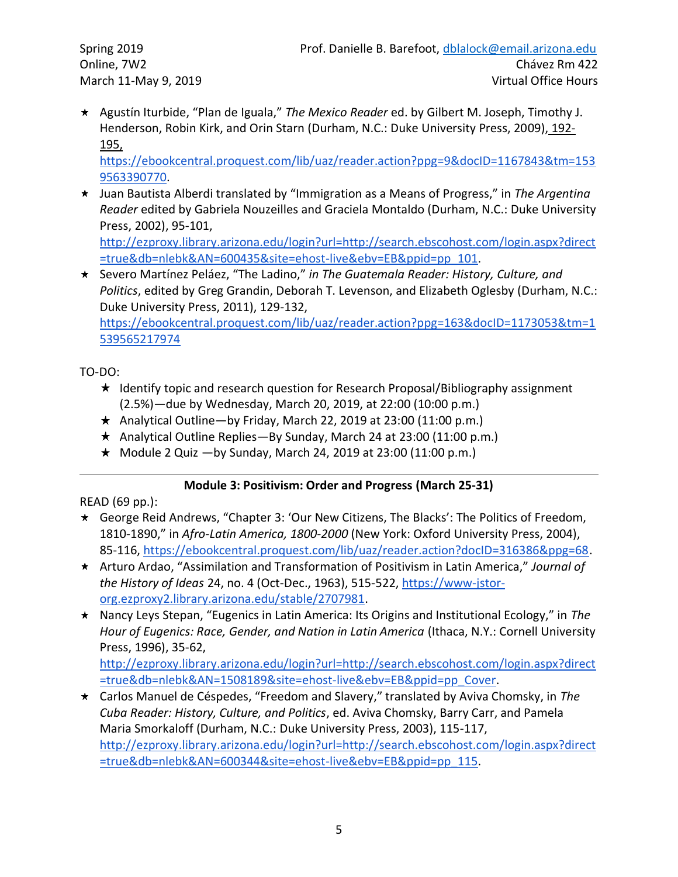Agustín Iturbide, "Plan de Iguala," *The Mexico Reader* ed. by Gilbert M. Joseph, Timothy J. Henderson, Robin Kirk, and Orin Starn (Durham, N.C.: Duke University Press, 2009), [192-](https://ebookcentral.proquest.com/lib/uaz/reader.action?ppg=9&docID=1167843&tm=1539563390770) [195,](https://ebookcentral.proquest.com/lib/uaz/reader.action?ppg=9&docID=1167843&tm=1539563390770) 

[https://ebookcentral.proquest.com/lib/uaz/reader.action?ppg=9&docID=1167843&tm=153](https://ebookcentral.proquest.com/lib/uaz/reader.action?ppg=9&docID=1167843&tm=1539563390770) [9563390770.](https://ebookcentral.proquest.com/lib/uaz/reader.action?ppg=9&docID=1167843&tm=1539563390770)

Juan Bautista Alberdi translated by "Immigration as a Means of Progress," in *The Argentina Reader* edited by Gabriela Nouzeilles and Graciela Montaldo (Durham, N.C.: Duke University Press, 2002), 95-101,

[http://ezproxy.library.arizona.edu/login?url=http://search.ebscohost.com/login.aspx?direct](http://ezproxy.library.arizona.edu/login?url=http://search.ebscohost.com/login.aspx?direct=true&db=nlebk&AN=600435&site=ehost-live&ebv=EB&ppid=pp_101) [=true&db=nlebk&AN=600435&site=ehost-live&ebv=EB&ppid=pp\\_101.](http://ezproxy.library.arizona.edu/login?url=http://search.ebscohost.com/login.aspx?direct=true&db=nlebk&AN=600435&site=ehost-live&ebv=EB&ppid=pp_101)

Severo Martínez Peláez, "The Ladino," *in The Guatemala Reader: History, Culture, and Politics*, edited by Greg Grandin, Deborah T. Levenson, and Elizabeth Oglesby (Durham, N.C.: Duke University Press, 2011), 129-132[,](https://ebookcentral.proquest.com/lib/uaz/reader.action?ppg=163&docID=1173053&tm=1539565217974)

[https://ebookcentral.proquest.com/lib/uaz/reader.action?ppg=163&docID=1173053&tm=1](https://ebookcentral.proquest.com/lib/uaz/reader.action?ppg=163&docID=1173053&tm=1539565217974) [539565217974](https://ebookcentral.proquest.com/lib/uaz/reader.action?ppg=163&docID=1173053&tm=1539565217974)

TO-DO:

- $\star$  Identify topic and research question for Research Proposal/Bibliography assignment (2.5%)—due by Wednesday, March 20, 2019, at 22:00 (10:00 p.m.)
- $\star$  Analytical Outline—by Friday, March 22, 2019 at 23:00 (11:00 p.m.)
- $\star$  Analytical Outline Replies—By Sunday, March 24 at 23:00 (11:00 p.m.)
- $\star$  Module 2 Quiz  $-$ by Sunday, March 24, 2019 at 23:00 (11:00 p.m.)

## **Module 3: Positivism: Order and Progress (March 25-31)**

READ (69 pp.):

- George Reid Andrews, "Chapter 3: 'Our New Citizens, The Blacks': The Politics of Freedom, 1810-1890," in *Afro-Latin America, 1800-2000* (New York: Oxford University Press, 2004), 85-116, [https://ebookcentral.proquest.com/lib/uaz/reader.action?docID=316386&ppg=68.](https://ebookcentral.proquest.com/lib/uaz/reader.action?docID=316386&ppg=68)
- Arturo Ardao, "Assimilation and Transformation of Positivism in Latin America," *Journal of the History of Ideas* 24, no. 4 (Oct-Dec., 1963), 515-522, [https://www-jstor](https://www-jstor-org.ezproxy2.library.arizona.edu/stable/2707981)[org.ezproxy2.library.arizona.edu/stable/2707981.](https://www-jstor-org.ezproxy2.library.arizona.edu/stable/2707981)
- Nancy Leys Stepan, "Eugenics in Latin America: Its Origins and Institutional Ecology," in *The Hour of Eugenics: [Race, Gender, and Nation in Latin America](http://ezproxy.library.arizona.edu/login?url=http://search.ebscohost.com/login.aspx?direct=true&db=nlebk&AN=1508189&site=ehost-live&ebv=EB&ppid=pp_Cover)* (Ithaca, N.Y.: Cornell University Press, 1996), 35-62,

[http://ezproxy.library.arizona.edu/login?url=http://search.ebscohost.com/login.aspx?direct](http://ezproxy.library.arizona.edu/login?url=http://search.ebscohost.com/login.aspx?direct=true&db=nlebk&AN=1508189&site=ehost-live&ebv=EB&ppid=pp_Cover) [=true&db=nlebk&AN=1508189&site=ehost-live&ebv=EB&ppid=pp\\_Cover.](http://ezproxy.library.arizona.edu/login?url=http://search.ebscohost.com/login.aspx?direct=true&db=nlebk&AN=1508189&site=ehost-live&ebv=EB&ppid=pp_Cover)

Carlos Manuel de Céspedes, "Freedom and Slavery," translated by Aviva Chomsky, in *The Cuba Reader: History, Culture, and Politics*, ed. Aviva Chomsky, Barry Carr, and Pamela Maria Smorkaloff (Durham, N.C.: Duke University Press, 2003), 115-117, [http://ezproxy.library.arizona.edu/login?url=http://search.ebscohost.com/login.aspx?direct](http://ezproxy.library.arizona.edu/login?url=http://search.ebscohost.com/login.aspx?direct=true&db=nlebk&AN=600344&site=ehost-live&ebv=EB&ppid=pp_115) [=true&db=nlebk&AN=600344&site=ehost-live&ebv=EB&ppid=pp\\_115.](http://ezproxy.library.arizona.edu/login?url=http://search.ebscohost.com/login.aspx?direct=true&db=nlebk&AN=600344&site=ehost-live&ebv=EB&ppid=pp_115)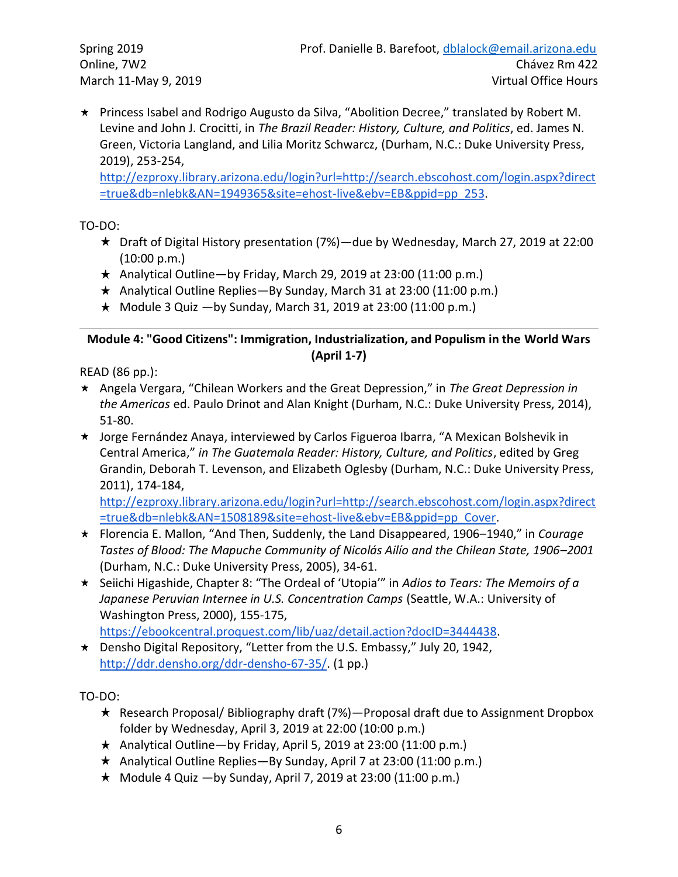\* Princess Isabel and Rodrigo Augusto da Silva, "Abolition Decree," translated by Robert M. Levine and John J. Crocitti, in *The Brazil Reader: History, Culture, and Politics*, ed. James N. Green, Victoria Langland, and Lilia Moritz Schwarcz, (Durham, N.C.: Duke University Press, 2019), 253-254,

[http://ezproxy.library.arizona.edu/login?url=http://search.ebscohost.com/login.aspx?direct](http://ezproxy.library.arizona.edu/login?url=http://search.ebscohost.com/login.aspx?direct=true&db=nlebk&AN=1949365&site=ehost-live&ebv=EB&ppid=pp_253) [=true&db=nlebk&AN=1949365&site=ehost-live&ebv=EB&ppid=pp\\_253.](http://ezproxy.library.arizona.edu/login?url=http://search.ebscohost.com/login.aspx?direct=true&db=nlebk&AN=1949365&site=ehost-live&ebv=EB&ppid=pp_253)

TO-DO:

- $\star$  Draft of Digital History presentation (7%)—due by Wednesday, March 27, 2019 at 22:00 (10:00 p.m.)
- $\star$  Analytical Outline—by Friday, March 29, 2019 at 23:00 (11:00 p.m.)
- $\star$  Analytical Outline Replies—By Sunday, March 31 at 23:00 (11:00 p.m.)
- $\star$  Module 3 Quiz  $-$ by Sunday, March 31, 2019 at 23:00 (11:00 p.m.)

## **Module 4: "Good Citizens": Immigration, Industrialization, and Populism in the World Wars (April 1-7)**

READ (86 pp.):

- Angela Vergara, "Chilean Workers and the Great Depression," in *The Great Depression in the Americas* ed. Paulo Drinot and Alan Knight (Durham, N.C.: Duke University Press, 2014), 51-80.
- \* Jorge Fernández Anaya, interviewed by Carlos Figueroa Ibarra, "A Mexican Bolshevik in Central America," *in The Guatemala Reader: History, Culture, and Politics*, edited by Greg Grandin, Deborah T. Levenson, and Elizabeth Oglesby (Durham, N.C.: Duke University Press, 2011), 174-184,

[http://ezproxy.library.arizona.edu/login?url=http://search.ebscohost.com/login.aspx?direct](http://ezproxy.library.arizona.edu/login?url=http://search.ebscohost.com/login.aspx?direct=true&db=nlebk&AN=1508189&site=ehost-live&ebv=EB&ppid=pp_Cover) [=true&db=nlebk&AN=1508189&site=ehost-live&ebv=EB&ppid=pp\\_Cover.](http://ezproxy.library.arizona.edu/login?url=http://search.ebscohost.com/login.aspx?direct=true&db=nlebk&AN=1508189&site=ehost-live&ebv=EB&ppid=pp_Cover)

- Florencia E. Mallon, "And Then, Suddenly, the Land Disappeared, 1906–1940," in *Courage Tastes of Blood: The Mapuche Community of Nicolás Ailío and the Chilean State, 1906–2001* (Durham, N.C.: Duke University Press, 2005), 34-61.
- Seiichi Higashide, Chapter 8: "The Ordeal of 'Utopia'" in *Adios to Tears: The Memoirs of a*  Japanese Peruvian Internee in U.S. Concentration Camps (Seattle, W.A.: University of Washington Press, 2000), 155-175,

[https://ebookcentral.proquest.com/lib/uaz/detail.action?docID=3444438.](https://ebookcentral.proquest.com/lib/uaz/detail.action?docID=3444438)

\* Densho Digital Repository, "Letter from the U.S. Embassy," July 20, 1942, [http://ddr.densho.org/ddr-densho-67-35/.](http://ddr.densho.org/ddr-densho-67-35/) (1 pp.)

TO-DO:

- Research Proposal/ Bibliography draft (7%)—Proposal draft due to Assignment Dropbox folder by Wednesday, April 3, 2019 at 22:00 (10:00 p.m.)
- $\star$  Analytical Outline—by Friday, April 5, 2019 at 23:00 (11:00 p.m.)
- $\star$  Analytical Outline Replies—By Sunday, April 7 at 23:00 (11:00 p.m.)
- $\star$  Module 4 Quiz —by Sunday, April 7, 2019 at 23:00 (11:00 p.m.)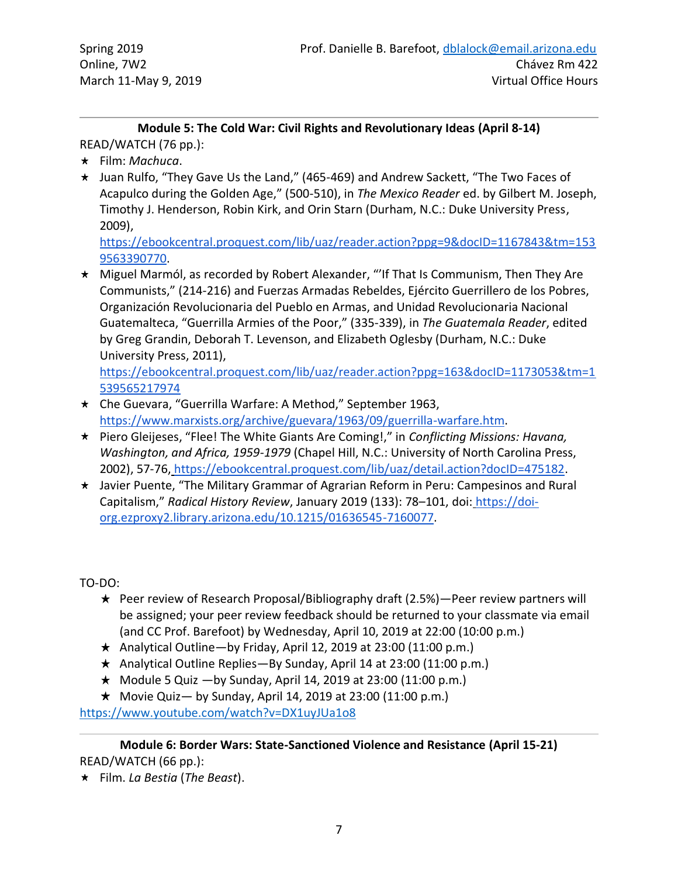#### **Module 5: The Cold War: Civil Rights and Revolutionary Ideas (April 8-14)** READ/WATCH (76 pp.):

- Film: *Machuca*.
- \* Juan Rulfo, "They Gave Us the Land," (465-469) and Andrew Sackett, "The Two Faces of Acapulco during the Golden Age," (500-510), in *The Mexico Reader* ed. by Gilbert M. Joseph, Timothy J. Henderson, Robin Kirk, and Orin Starn (Durham, N.C.: Duke University Press, 2009)[,](https://ebookcentral.proquest.com/lib/uaz/reader.action?ppg=9&docID=1167843&tm=1539563390770)

[https://ebookcentral.proquest.com/lib/uaz/reader.action?ppg=9&docID=1167843&tm=153](https://ebookcentral.proquest.com/lib/uaz/reader.action?ppg=9&docID=1167843&tm=1539563390770) [9563390770.](https://ebookcentral.proquest.com/lib/uaz/reader.action?ppg=9&docID=1167843&tm=1539563390770)

\* Miguel Marmól, as recorded by Robert Alexander, "'If That Is Communism, Then They Are Communists," (214-216) and Fuerzas Armadas Rebeldes, Ejército Guerrillero de los Pobres, Organización Revolucionaria del Pueblo en Armas, and Unidad Revolucionaria Nacional Guatemalteca, "Guerrilla Armies of the Poor," (335-339), in *The Guatemala Reader*, edited by Greg Grandin, Debo[rah T. Levenson, and Elizabeth Oglesby \(Durham, N.C.: Duke](https://ebookcentral.proquest.com/lib/uaz/reader.action?ppg=163&docID=1173053&tm=1539565217974)  University Press, 2011),

[https://ebookcentral.proquest.com/lib/uaz/reader.action?ppg=163&docID=1173053&tm=1](https://ebookcentral.proquest.com/lib/uaz/reader.action?ppg=163&docID=1173053&tm=1539565217974) [539565217974](https://ebookcentral.proquest.com/lib/uaz/reader.action?ppg=163&docID=1173053&tm=1539565217974)

- Che Guevara, "Guerrilla Warfare: A Method," September 1963[,](https://www.marxists.org/archive/guevara/1963/09/guerrilla-warfare.htm) [https://www.marxists.org/archive/guevara/1963/09/guerrilla-warfare.htm.](https://www.marxists.org/archive/guevara/1963/09/guerrilla-warfare.htm)
- Piero Gleijeses, "Flee! The White Giants Are Coming!," in *Conflicting Missions: Havana, Washington, and Africa, 1959-1979* (Chapel Hill, N.C.: University of North Carolina Press, 2002), 57-76, [https://ebookcentral.proquest.com/lib/uaz/detail.action?docID=475182.](https://ebookcentral.proquest.com/lib/uaz/detail.action?docID=475182)
- \* Javier Puente, "The Military Grammar of Agrarian Reform in Peru: Campesinos and Rural Capitalism," *Radical History Review*, January 2019 (133): 78–101, doi: [https://doi](https://doi-org.ezproxy2.library.arizona.edu/10.1215/01636545-7160077)[org.ezproxy2.library.arizona.edu/10.1215/01636545-7160077.](https://doi-org.ezproxy2.library.arizona.edu/10.1215/01636545-7160077)

TO-DO:

- $\star$  Peer review of Research Proposal/Bibliography draft (2.5%)—Peer review partners will be assigned; your peer review feedback should be returned to your classmate via email (and CC Prof. Barefoot) by Wednesday, April 10, 2019 at 22:00 (10:00 p.m.)
- $\star$  Analytical Outline—by Friday, April 12, 2019 at 23:00 (11:00 p.m.)
- $\star$  Analytical Outline Replies—By Sunday, April 14 at 23:00 (11:00 p.m.)
- $\star$  Module 5 Quiz  $-$ by Sunday, April 14, 2019 at 23:00 (11:00 p.m.)
- $\star$  Movie Quiz by Sunday, April 14, 2019 at 23:00 (11:00 p.m.)

<https://www.youtube.com/watch?v=DX1uyJUa1o8>

**Module 6: Border Wars: State-Sanctioned Violence and Resistance (April 15-21)** READ/WATCH (66 pp.):

Film. *La Bestia* (*The Beast*).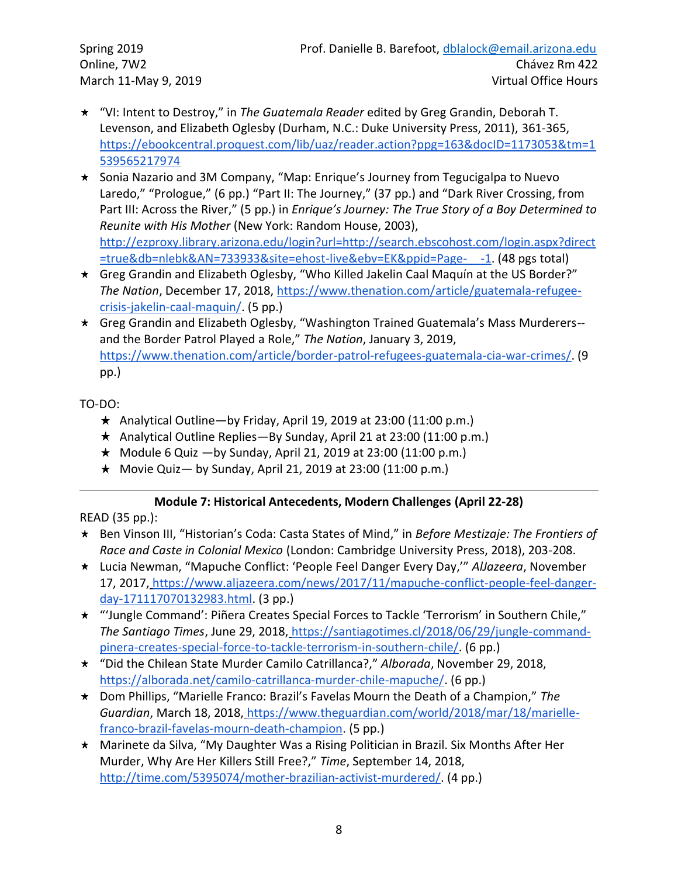- "VI: Intent to Destroy," in *The Guatemala Reader* edited by Greg Grandin, Deborah T. Levenson, and Elizabeth Oglesby (Durham, N.C.: Duke University Press, 2011), [361-365,](https://ebookcentral.proquest.com/lib/uaz/reader.action?ppg=163&docID=1173053&tm=1539565217974) [https://ebookcentral.proquest.com/lib/uaz/reader.action?ppg=163&docID=1173053&tm=1](https://ebookcentral.proquest.com/lib/uaz/reader.action?ppg=163&docID=1173053&tm=1539565217974) [539565217974](https://ebookcentral.proquest.com/lib/uaz/reader.action?ppg=163&docID=1173053&tm=1539565217974)
- \* Sonia Nazario and 3M Company, "Map: Enrique's Journey from Tegucigalpa to Nuevo Laredo," "Prologue," (6 pp.) "Part II: The Journey," (37 pp.) and "Dark River Crossing, from Part III: Across the River," (5 pp.) in *Enrique's Journey: The True Story of a Boy Determined to Reunite with His Mother* (New York: Random House, 2003), [http://ezproxy.library.arizona.edu/login?url=http://search.ebscohost.com/login.aspx?direct](http://ezproxy.library.arizona.edu/login?url=http://search.ebscohost.com/login.aspx?direct=true&db=nlebk&AN=733933&site=ehost-live&ebv=EK&ppid=Page-__-1) [=true&db=nlebk&AN=733933&site=ehost-live&ebv=EK&ppid=Page-\\_\\_-1.](http://ezproxy.library.arizona.edu/login?url=http://search.ebscohost.com/login.aspx?direct=true&db=nlebk&AN=733933&site=ehost-live&ebv=EK&ppid=Page-__-1) (48 pgs total)
- \* Greg Grandin and Elizabeth Oglesby, "Who Killed Jakelin Caal Maquín at the US Border?" *The Nation*, December 17, 2018, [https://www.thenation.com/article/guatemala-refugee](https://www.thenation.com/article/guatemala-refugee-crisis-jakelin-caal-maquin/)[crisis-jakelin-caal-maquin/.](https://www.thenation.com/article/guatemala-refugee-crisis-jakelin-caal-maquin/) (5 pp.)
- Greg Grandin and Elizabeth Oglesby, "Washington Trained Guatemala's Mass Murderers- and the Border Patrol Played a Role," *The Nation*, January 3, 2019, [https://www.thenation.com/article/border-patrol-refugees-guatemala-cia-war-crimes/.](https://www.thenation.com/article/border-patrol-refugees-guatemala-cia-war-crimes/) (9 pp.)

TO-DO:

- $\star$  Analytical Outline—by Friday, April 19, 2019 at 23:00 (11:00 p.m.)
- $\star$  Analytical Outline Replies—By Sunday, April 21 at 23:00 (11:00 p.m.)
- $\star$  Module 6 Quiz  $-$ by Sunday, April 21, 2019 at 23:00 (11:00 p.m.)
- $\star$  Movie Quiz by Sunday, April 21, 2019 at 23:00 (11:00 p.m.)

## **Module 7: Historical Antecedents, Modern Challenges (April 22-28)**

READ (35 pp.):

- Ben Vinson III, "Historian's Coda: Casta States of Mind," in *Before Mestizaje: The Frontiers of Race and Caste in Colonial Mexico* (London: Cambridge University Press, 2018), 203-208.
- Lucia Newman, "Mapuche Conflict: 'People Feel Danger Every Day,'" *AlJazeera*, November 17, 2017, [https://www.aljazeera.com/news/2017/11/mapuche-conflict-people-feel-danger](https://www.aljazeera.com/news/2017/11/mapuche-conflict-people-feel-danger-day-171117070132983.html)[day-171117070132983.html.](https://www.aljazeera.com/news/2017/11/mapuche-conflict-people-feel-danger-day-171117070132983.html) (3 pp.)
- "'Jungle Command': Piñera Creates Special Forces to Tackle 'Terrorism' in Southern Chile," *The Santiago Times*, June 29, 2018, [https://santiagotimes.cl/2018/06/29/jungle-command](https://santiagotimes.cl/2018/06/29/jungle-command-pinera-creates-special-force-to-tackle-terrorism-in-southern-chile/)[pinera-creates-special-force-to-tackle-terrorism-in-southern-chile/.](https://santiagotimes.cl/2018/06/29/jungle-command-pinera-creates-special-force-to-tackle-terrorism-in-southern-chile/) (6 pp.)
- "Did the Chilean State Murder Camilo Catrillanca?," *Alborada*, November 29, 2018, [https://alborada.net/camilo-catrillanca-murder-chile-mapuche/.](https://alborada.net/camilo-catrillanca-murder-chile-mapuche/) (6 pp.)
- Dom Phillips, "Marielle Franco: Brazil's Favelas Mourn the Death of a Champion," *The Guardian*, March 18, 2018, [https://www.theguardian.com/world/2018/mar/18/marielle](https://www.theguardian.com/world/2018/mar/18/marielle-franco-brazil-favelas-mourn-death-champion)[franco-brazil-favelas-mourn-death-champion.](https://www.theguardian.com/world/2018/mar/18/marielle-franco-brazil-favelas-mourn-death-champion) (5 pp.)
- \* Marinete da Silva, "My Daughter Was a Rising Politician in Brazil. Six Months After Her Murder, Why Are Her Killers Still Free?," *Time*, September 14, 2018[,](http://time.com/5395074/mother-brazilian-activist-murdered/) [http://time.com/5395074/mother-brazilian-activist-murdered/.](http://time.com/5395074/mother-brazilian-activist-murdered/) (4 pp.)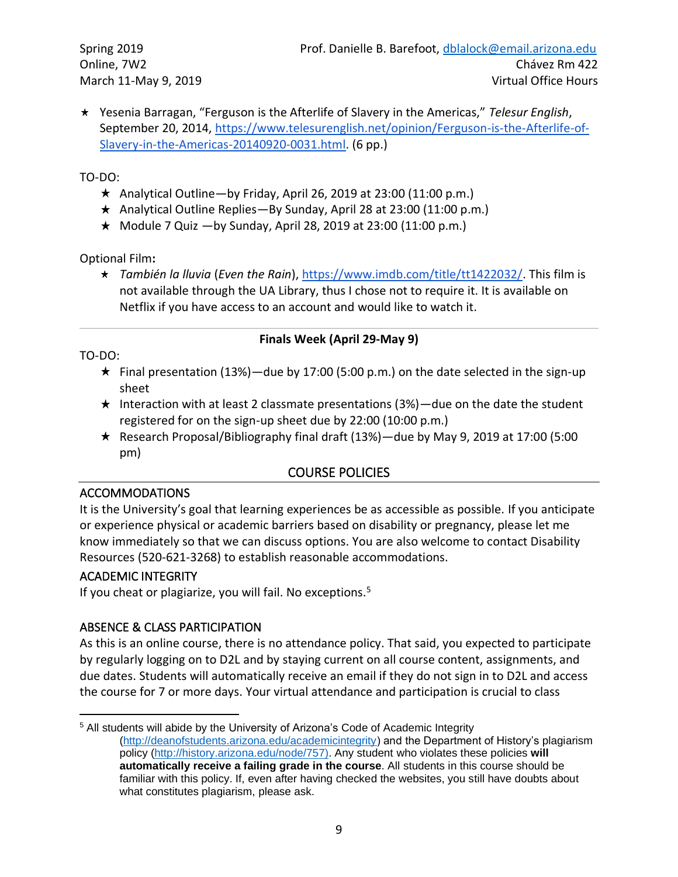Yesenia Barragan, "Ferguson is the Afterlife of Slavery in the Americas," *Telesur English*, September 20, 2014, [https://www.telesurenglish.net/opinion/Ferguson-is-the-Afterlife-of-](https://www.telesurenglish.net/opinion/Ferguson-is-the-Afterlife-of-Slavery-in-the-Americas-20140920-0031.html)[Slavery-in-the-Americas-20140920-0031.html.](https://www.telesurenglish.net/opinion/Ferguson-is-the-Afterlife-of-Slavery-in-the-Americas-20140920-0031.html) (6 pp.)

#### TO-DO:

- $\star$  Analytical Outline—by Friday, April 26, 2019 at 23:00 (11:00 p.m.)
- $\star$  Analytical Outline Replies—By Sunday, April 28 at 23:00 (11:00 p.m.)
- $\star$  Module 7 Quiz  $-$ by Sunday, April 28, 2019 at 23:00 (11:00 p.m.)

Optional Film**:**

*También la lluvia* (*Even the Rain*)[, https://www.imdb.com/title/tt1422032/.](https://www.imdb.com/title/tt1422032/) This film is not available through the UA Library, thus I chose not to require it. It is available on Netflix if you have access to an account and would like to watch it.

#### **Finals Week (April 29-May 9)**

TO-DO:

- $\star$  Final presentation (13%)—due by 17:00 (5:00 p.m.) on the date selected in the sign-up sheet
- $\star$  Interaction with at least 2 classmate presentations (3%)—due on the date the student registered for on the sign-up sheet due by 22:00 (10:00 p.m.)
- Research Proposal/Bibliography final draft (13%)—due by May 9, 2019 at 17:00 (5:00 pm)

## COURSE POLICIES

#### ACCOMMODATIONS

It is the University's goal that learning experiences be as accessible as possible. If you anticipate or experience physical or academic barriers based on disability or pregnancy, please let me know immediately so that we can discuss options. You are also welcome to contact Disability Resources (520-621-3268) to establish reasonable accommodations.

## ACADEMIC INTEGRITY

If you cheat or plagiarize, you will fail. No exceptions.<sup>5</sup>

## ABSENCE & CLASS PARTICIPATION

As this is an online course, there is no attendance policy. That said, you expected to participate by regularly logging on to D2L and by staying current on all course content, assignments, and due dates. Students will automatically receive an email if they do not sign in to D2L and access the course for 7 or more days. Your virtual attendance and participation is crucial to class

<sup>5</sup> All students will abide by the University of Arizona's Code of Academic Integrity [\(http://deanofstudents.arizona.edu/academicintegrity\)](http://deanofstudents.arizona.edu/academicintegrity) and the Department of History's plagiarism policy [\(http://history.arizona.edu/node/757\).](http://history.arizona.edu/node/757)) Any student who violates these policies **will automatically receive a failing grade in the course**. All students in this course should be familiar with this policy. If, even after having checked the websites, you still have doubts about what constitutes plagiarism, please ask.